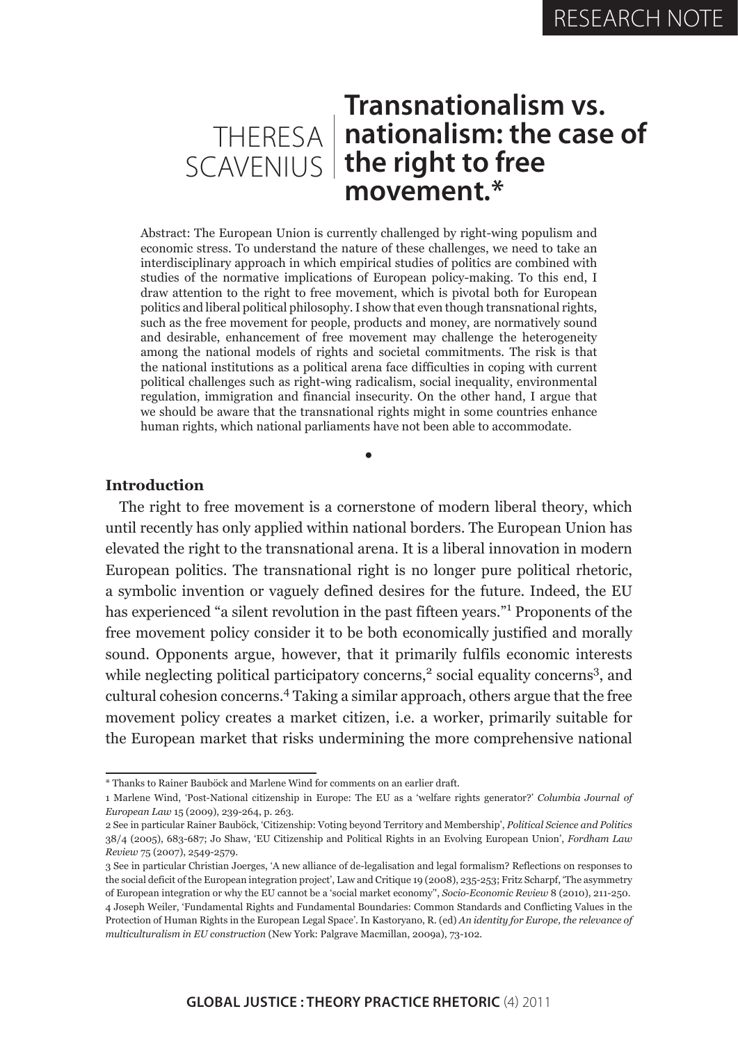# **Transnationalism vs. nationalism: the case of**  THERESA **the right to free**  SCAVENIUS**movement.\***

Abstract: The European Union is currently challenged by right-wing populism and economic stress. To understand the nature of these challenges, we need to take an interdisciplinary approach in which empirical studies of politics are combined with studies of the normative implications of European policy-making. To this end, I draw attention to the right to free movement, which is pivotal both for European politics and liberal political philosophy. I show that even though transnational rights, such as the free movement for people, products and money, are normatively sound and desirable, enhancement of free movement may challenge the heterogeneity among the national models of rights and societal commitments. The risk is that the national institutions as a political arena face difficulties in coping with current political challenges such as right-wing radicalism, social inequality, environmental regulation, immigration and financial insecurity. On the other hand, I argue that we should be aware that the transnational rights might in some countries enhance human rights, which national parliaments have not been able to accommodate.

•

## **Introduction**

The right to free movement is a cornerstone of modern liberal theory, which until recently has only applied within national borders. The European Union has elevated the right to the transnational arena. It is a liberal innovation in modern European politics. The transnational right is no longer pure political rhetoric, a symbolic invention or vaguely defined desires for the future. Indeed, the EU has experienced "a silent revolution in the past fifteen years."<sup>1</sup> Proponents of the free movement policy consider it to be both economically justified and morally sound. Opponents argue, however, that it primarily fulfils economic interests while neglecting political participatory concerns,<sup>2</sup> social equality concerns<sup>3</sup>, and cultural cohesion concerns.4 Taking a similar approach, others argue that the free movement policy creates a market citizen, i.e. a worker, primarily suitable for the European market that risks undermining the more comprehensive national

<sup>\*</sup> Thanks to Rainer Bauböck and Marlene Wind for comments on an earlier draft.

<sup>1</sup> Marlene Wind, 'Post-National citizenship in Europe: The EU as a 'welfare rights generator?' *Columbia Journal of European Law* 15 (2009), 239-264, p. 263.

<sup>2</sup> See in particular Rainer Bauböck, 'Citizenship: Voting beyond Territory and Membership', *Political Science and Politics* 38/4 (2005), 683-687; Jo Shaw, 'EU Citizenship and Political Rights in an Evolving European Union', *Fordham Law Review* 75 (2007), 2549-2579.

<sup>3</sup> See in particular Christian Joerges, 'A new alliance of de-legalisation and legal formalism? Reflections on responses to the social deficit of the European integration project', Law and Critique 19 (2008), 235-253; Fritz Scharpf, 'The asymmetry of European integration or why the EU cannot be a 'social market economy'', *Socio-Economic Review* 8 (2010), 211-250. 4 Joseph Weiler, 'Fundamental Rights and Fundamental Boundaries: Common Standards and Conflicting Values in the Protection of Human Rights in the European Legal Space'. In Kastoryano, R. (ed) *An identity for Europe, the relevance of multiculturalism in EU construction* (New York: Palgrave Macmillan, 2009a), 73-102.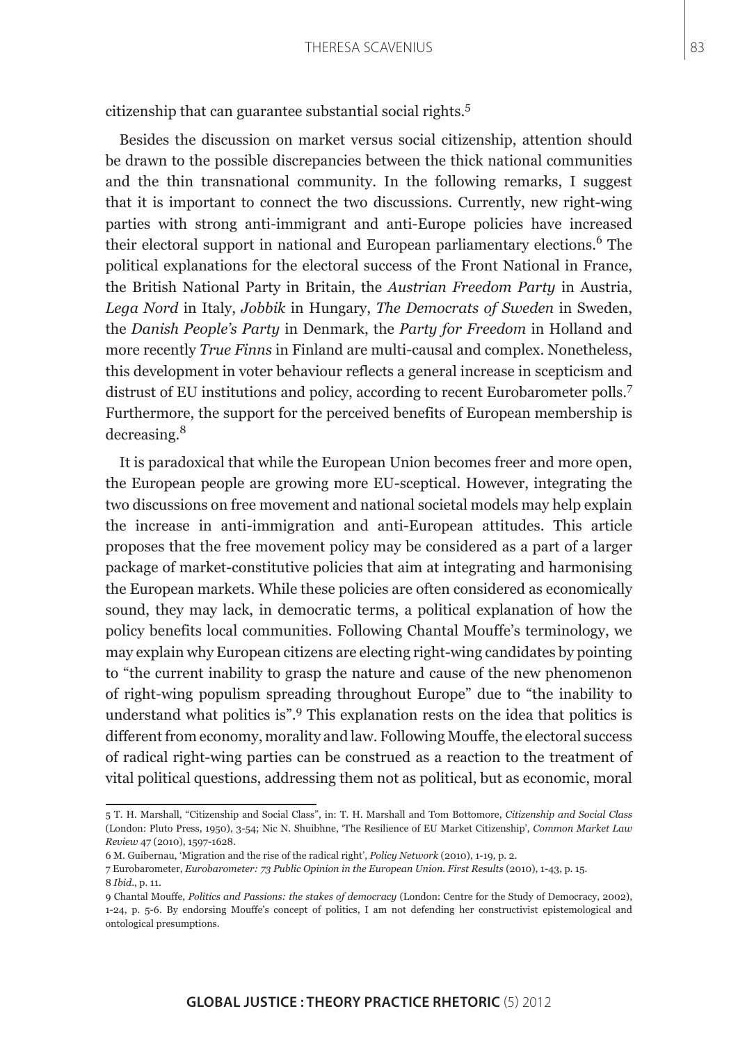citizenship that can guarantee substantial social rights.<sup>5</sup>

Besides the discussion on market versus social citizenship, attention should be drawn to the possible discrepancies between the thick national communities and the thin transnational community. In the following remarks, I suggest that it is important to connect the two discussions. Currently, new right-wing parties with strong anti-immigrant and anti-Europe policies have increased their electoral support in national and European parliamentary elections.<sup>6</sup> The political explanations for the electoral success of the Front National in France, the British National Party in Britain, the *Austrian Freedom Party* in Austria, *Lega Nord* in Italy, *Jobbik* in Hungary, *The Democrats of Sweden* in Sweden, the *Danish People's Party* in Denmark, the *Party for Freedom* in Holland and more recently *True Finns* in Finland are multi-causal and complex. Nonetheless, this development in voter behaviour reflects a general increase in scepticism and distrust of EU institutions and policy, according to recent Eurobarometer polls.<sup>7</sup> Furthermore, the support for the perceived benefits of European membership is decreasing.<sup>8</sup>

It is paradoxical that while the European Union becomes freer and more open, the European people are growing more EU-sceptical. However, integrating the two discussions on free movement and national societal models may help explain the increase in anti-immigration and anti-European attitudes. This article proposes that the free movement policy may be considered as a part of a larger package of market-constitutive policies that aim at integrating and harmonising the European markets. While these policies are often considered as economically sound, they may lack, in democratic terms, a political explanation of how the policy benefits local communities. Following Chantal Mouffe's terminology, we may explain why European citizens are electing right-wing candidates by pointing to "the current inability to grasp the nature and cause of the new phenomenon of right-wing populism spreading throughout Europe" due to "the inability to understand what politics is".<sup>9</sup> This explanation rests on the idea that politics is different from economy, morality and law. Following Mouffe, the electoral success of radical right-wing parties can be construed as a reaction to the treatment of vital political questions, addressing them not as political, but as economic, moral

<sup>5</sup> T. H. Marshall, "Citizenship and Social Class", in: T. H. Marshall and Tom Bottomore, *Citizenship and Social Class* (London: Pluto Press, 1950), 3-54; Nic N. Shuibhne, 'The Resilience of EU Market Citizenship', *Common Market Law Review* 47 (2010), 1597-1628.

<sup>6</sup> M. Guibernau, 'Migration and the rise of the radical right', *Policy Network* (2010), 1-19, p. 2.

<sup>7</sup> Eurobarometer, *Eurobarometer: 73 Public Opinion in the European Union. First Results* (2010), 1-43, p. 15. 8 *Ibid*., p. 11.

<sup>9</sup> Chantal Mouffe, *Politics and Passions: the stakes of democracy* (London: Centre for the Study of Democracy, 2002), 1-24, p. 5-6. By endorsing Mouffe's concept of politics, I am not defending her constructivist epistemological and ontological presumptions.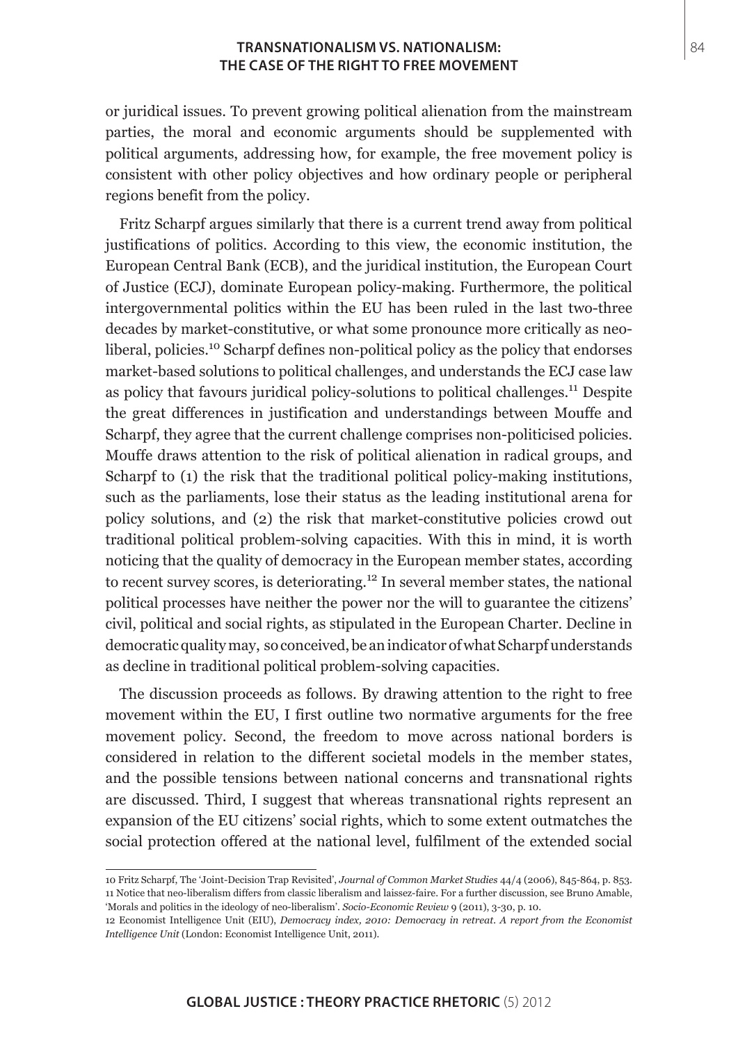or juridical issues. To prevent growing political alienation from the mainstream parties, the moral and economic arguments should be supplemented with political arguments, addressing how, for example, the free movement policy is consistent with other policy objectives and how ordinary people or peripheral regions benefit from the policy.

Fritz Scharpf argues similarly that there is a current trend away from political justifications of politics. According to this view, the economic institution, the European Central Bank (ECB), and the juridical institution, the European Court of Justice (ECJ), dominate European policy-making. Furthermore, the political intergovernmental politics within the EU has been ruled in the last two-three decades by market-constitutive, or what some pronounce more critically as neoliberal, policies.<sup>10</sup> Scharpf defines non-political policy as the policy that endorses market-based solutions to political challenges, and understands the ECJ case law as policy that favours juridical policy-solutions to political challenges.<sup>11</sup> Despite the great differences in justification and understandings between Mouffe and Scharpf, they agree that the current challenge comprises non-politicised policies. Mouffe draws attention to the risk of political alienation in radical groups, and Scharpf to (1) the risk that the traditional political policy-making institutions, such as the parliaments, lose their status as the leading institutional arena for policy solutions, and (2) the risk that market-constitutive policies crowd out traditional political problem-solving capacities. With this in mind, it is worth noticing that the quality of democracy in the European member states, according to recent survey scores, is deteriorating.<sup>12</sup> In several member states, the national political processes have neither the power nor the will to guarantee the citizens' civil, political and social rights, as stipulated in the European Charter. Decline in democratic quality may, so conceived, be an indicator of what Scharpf understands as decline in traditional political problem-solving capacities.

The discussion proceeds as follows. By drawing attention to the right to free movement within the EU, I first outline two normative arguments for the free movement policy. Second, the freedom to move across national borders is considered in relation to the different societal models in the member states, and the possible tensions between national concerns and transnational rights are discussed. Third, I suggest that whereas transnational rights represent an expansion of the EU citizens' social rights, which to some extent outmatches the social protection offered at the national level, fulfilment of the extended social

<sup>10</sup> Fritz Scharpf, The 'Joint-Decision Trap Revisited', *Journal of Common Market Studies* 44/4 (2006), 845-864, p. 853. 11 Notice that neo-liberalism differs from classic liberalism and laissez-faire. For a further discussion, see Bruno Amable, 'Morals and politics in the ideology of neo-liberalism'. *Socio-Economic Review* 9 (2011), 3-30, p. 10.

<sup>12</sup> Economist Intelligence Unit (EIU), *Democracy index, 2010: Democracy in retreat. A report from the Economist Intelligence Unit* (London: Economist Intelligence Unit, 2011).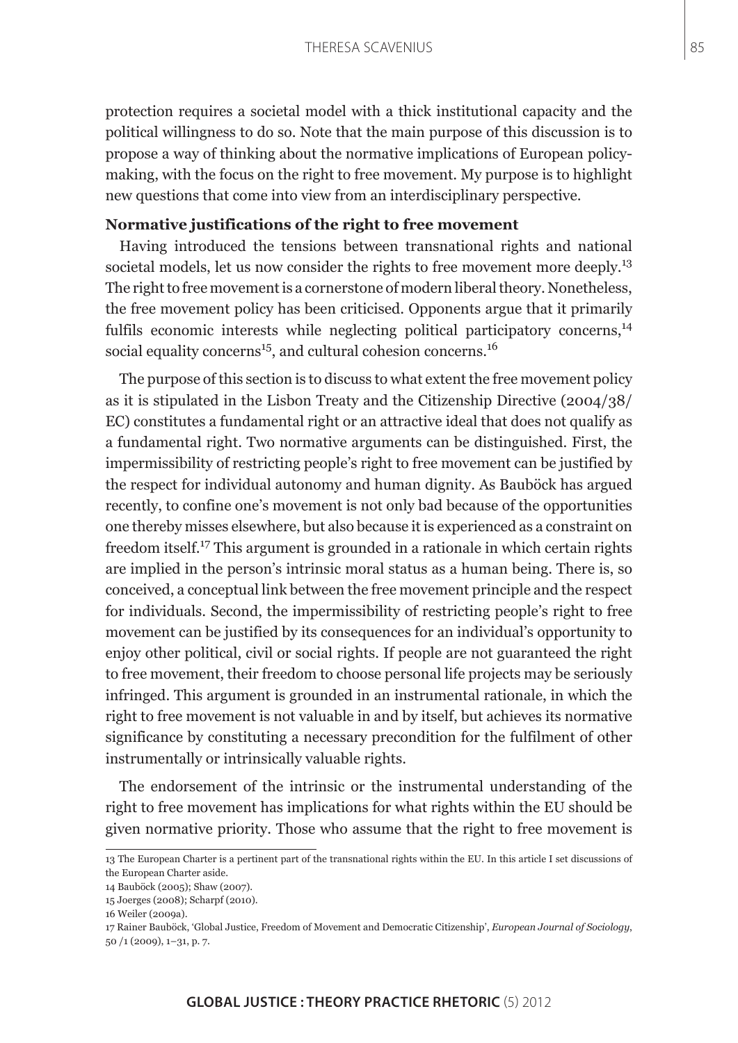protection requires a societal model with a thick institutional capacity and the political willingness to do so. Note that the main purpose of this discussion is to propose a way of thinking about the normative implications of European policymaking, with the focus on the right to free movement. My purpose is to highlight new questions that come into view from an interdisciplinary perspective.

# **Normative justifications of the right to free movement**

Having introduced the tensions between transnational rights and national societal models, let us now consider the rights to free movement more deeply.<sup>13</sup> The right to free movement is a cornerstone of modern liberal theory. Nonetheless, the free movement policy has been criticised. Opponents argue that it primarily fulfils economic interests while neglecting political participatory concerns,<sup>14</sup> social equality concerns<sup>15</sup>, and cultural cohesion concerns.<sup>16</sup>

The purpose of this section is to discuss to what extent the free movement policy as it is stipulated in the Lisbon Treaty and the Citizenship Directive (2004/38/ EC) constitutes a fundamental right or an attractive ideal that does not qualify as a fundamental right. Two normative arguments can be distinguished. First, the impermissibility of restricting people's right to free movement can be justified by the respect for individual autonomy and human dignity. As Bauböck has argued recently, to confine one's movement is not only bad because of the opportunities one thereby misses elsewhere, but also because it is experienced as a constraint on freedom itself.17 This argument is grounded in a rationale in which certain rights are implied in the person's intrinsic moral status as a human being. There is, so conceived, a conceptual link between the free movement principle and the respect for individuals. Second, the impermissibility of restricting people's right to free movement can be justified by its consequences for an individual's opportunity to enjoy other political, civil or social rights. If people are not guaranteed the right to free movement, their freedom to choose personal life projects may be seriously infringed. This argument is grounded in an instrumental rationale, in which the right to free movement is not valuable in and by itself, but achieves its normative significance by constituting a necessary precondition for the fulfilment of other instrumentally or intrinsically valuable rights.

The endorsement of the intrinsic or the instrumental understanding of the right to free movement has implications for what rights within the EU should be given normative priority. Those who assume that the right to free movement is

<sup>13</sup> The European Charter is a pertinent part of the transnational rights within the EU. In this article I set discussions of the European Charter aside.

<sup>14</sup> Bauböck (2005); Shaw (2007).

<sup>15</sup> Joerges (2008); Scharpf (2010).

<sup>16</sup> Weiler (2009a).

<sup>17</sup> Rainer Bauböck, 'Global Justice, Freedom of Movement and Democratic Citizenship', *European Journal of Sociology*, 50 /1 (2009), 1–31, p. 7.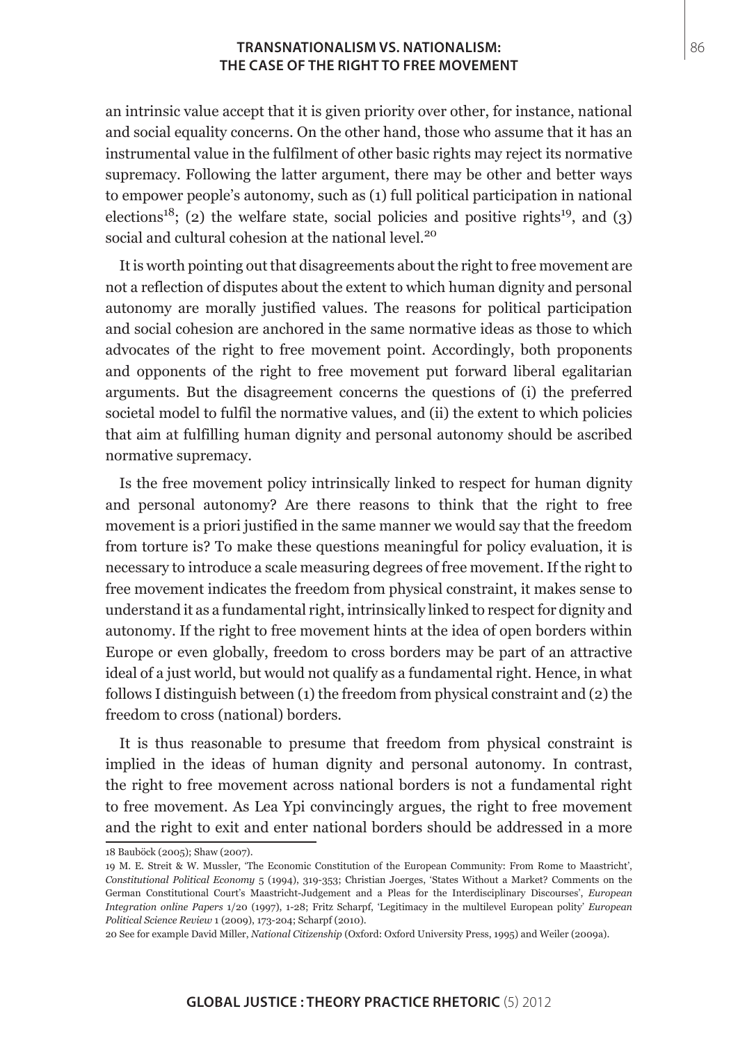an intrinsic value accept that it is given priority over other, for instance, national and social equality concerns. On the other hand, those who assume that it has an instrumental value in the fulfilment of other basic rights may reject its normative supremacy. Following the latter argument, there may be other and better ways to empower people's autonomy, such as (1) full political participation in national elections<sup>18</sup>; (2) the welfare state, social policies and positive rights<sup>19</sup>, and (3) social and cultural cohesion at the national level.<sup>20</sup>

It is worth pointing out that disagreements about the right to free movement are not a reflection of disputes about the extent to which human dignity and personal autonomy are morally justified values. The reasons for political participation and social cohesion are anchored in the same normative ideas as those to which advocates of the right to free movement point. Accordingly, both proponents and opponents of the right to free movement put forward liberal egalitarian arguments. But the disagreement concerns the questions of (i) the preferred societal model to fulfil the normative values, and (ii) the extent to which policies that aim at fulfilling human dignity and personal autonomy should be ascribed normative supremacy.

Is the free movement policy intrinsically linked to respect for human dignity and personal autonomy? Are there reasons to think that the right to free movement is a priori justified in the same manner we would say that the freedom from torture is? To make these questions meaningful for policy evaluation, it is necessary to introduce a scale measuring degrees of free movement. If the right to free movement indicates the freedom from physical constraint, it makes sense to understand it as a fundamental right, intrinsically linked to respect for dignity and autonomy. If the right to free movement hints at the idea of open borders within Europe or even globally, freedom to cross borders may be part of an attractive ideal of a just world, but would not qualify as a fundamental right. Hence, in what follows I distinguish between (1) the freedom from physical constraint and (2) the freedom to cross (national) borders.

It is thus reasonable to presume that freedom from physical constraint is implied in the ideas of human dignity and personal autonomy. In contrast, the right to free movement across national borders is not a fundamental right to free movement. As Lea Ypi convincingly argues, the right to free movement and the right to exit and enter national borders should be addressed in a more

<sup>18</sup> Bauböck (2005); Shaw (2007).

<sup>19</sup> M. E. Streit & W. Mussler, 'The Economic Constitution of the European Community: From Rome to Maastricht', *Constitutional Political Economy* 5 (1994), 319-353; Christian Joerges, 'States Without a Market? Comments on the German Constitutional Court's Maastricht-Judgement and a Pleas for the Interdisciplinary Discourses', *European Integration online Papers* 1/20 (1997), 1-28; Fritz Scharpf, 'Legitimacy in the multilevel European polity' *European Political Science Review* 1 (2009), 173-204; Scharpf (2010).

<sup>20</sup> See for example David Miller, *National Citizenship* (Oxford: Oxford University Press, 1995) and Weiler (2009a).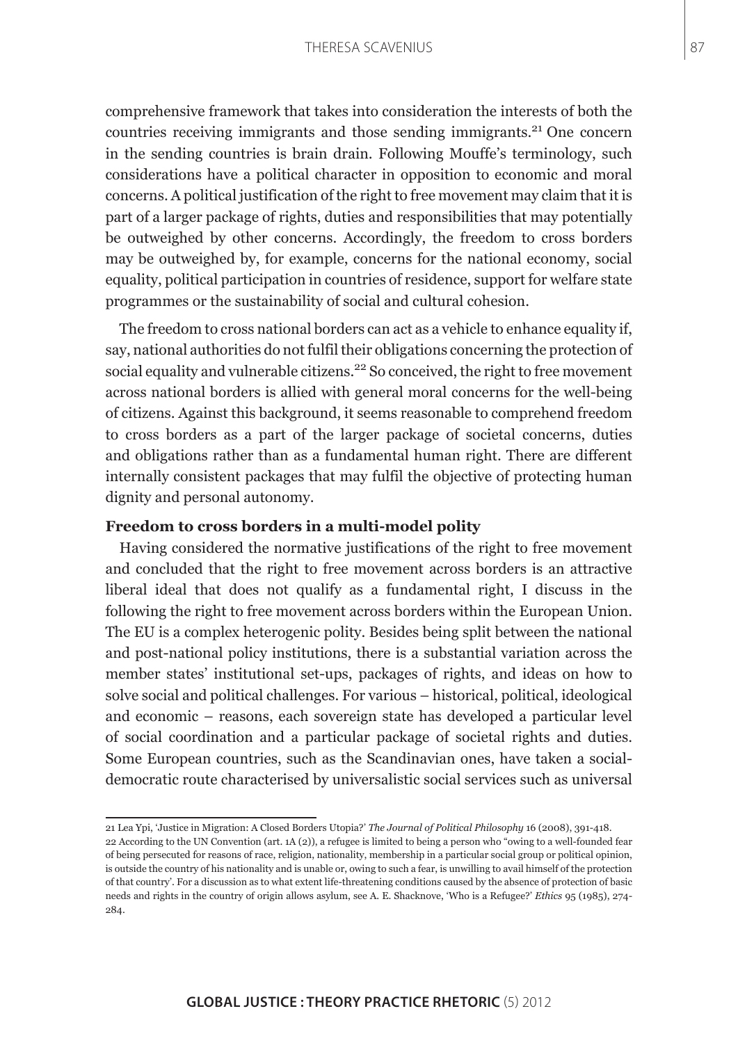comprehensive framework that takes into consideration the interests of both the countries receiving immigrants and those sending immigrants.<sup>21</sup> One concern in the sending countries is brain drain. Following Mouffe's terminology, such considerations have a political character in opposition to economic and moral concerns. A political justification of the right to free movement may claim that it is part of a larger package of rights, duties and responsibilities that may potentially be outweighed by other concerns. Accordingly, the freedom to cross borders may be outweighed by, for example, concerns for the national economy, social equality, political participation in countries of residence, support for welfare state programmes or the sustainability of social and cultural cohesion.

The freedom to cross national borders can act as a vehicle to enhance equality if, say, national authorities do not fulfil their obligations concerning the protection of social equality and vulnerable citizens.<sup>22</sup> So conceived, the right to free movement across national borders is allied with general moral concerns for the well-being of citizens. Against this background, it seems reasonable to comprehend freedom to cross borders as a part of the larger package of societal concerns, duties and obligations rather than as a fundamental human right. There are different internally consistent packages that may fulfil the objective of protecting human dignity and personal autonomy.

## **Freedom to cross borders in a multi-model polity**

Having considered the normative justifications of the right to free movement and concluded that the right to free movement across borders is an attractive liberal ideal that does not qualify as a fundamental right, I discuss in the following the right to free movement across borders within the European Union. The EU is a complex heterogenic polity. Besides being split between the national and post-national policy institutions, there is a substantial variation across the member states' institutional set-ups, packages of rights, and ideas on how to solve social and political challenges. For various – historical, political, ideological and economic – reasons, each sovereign state has developed a particular level of social coordination and a particular package of societal rights and duties. Some European countries, such as the Scandinavian ones, have taken a socialdemocratic route characterised by universalistic social services such as universal 87

<sup>21</sup> Lea Ypi, 'Justice in Migration: A Closed Borders Utopia?' *The Journal of Political Philosophy* 16 (2008), 391-418.

<sup>22</sup> According to the UN Convention (art. 1A (2)), a refugee is limited to being a person who "owing to a well-founded fear of being persecuted for reasons of race, religion, nationality, membership in a particular social group or political opinion, is outside the country of his nationality and is unable or, owing to such a fear, is unwilling to avail himself of the protection of that country'. For a discussion as to what extent life-threatening conditions caused by the absence of protection of basic needs and rights in the country of origin allows asylum, see A. E. Shacknove, 'Who is a Refugee?' *Ethics* 95 (1985), 274- 284.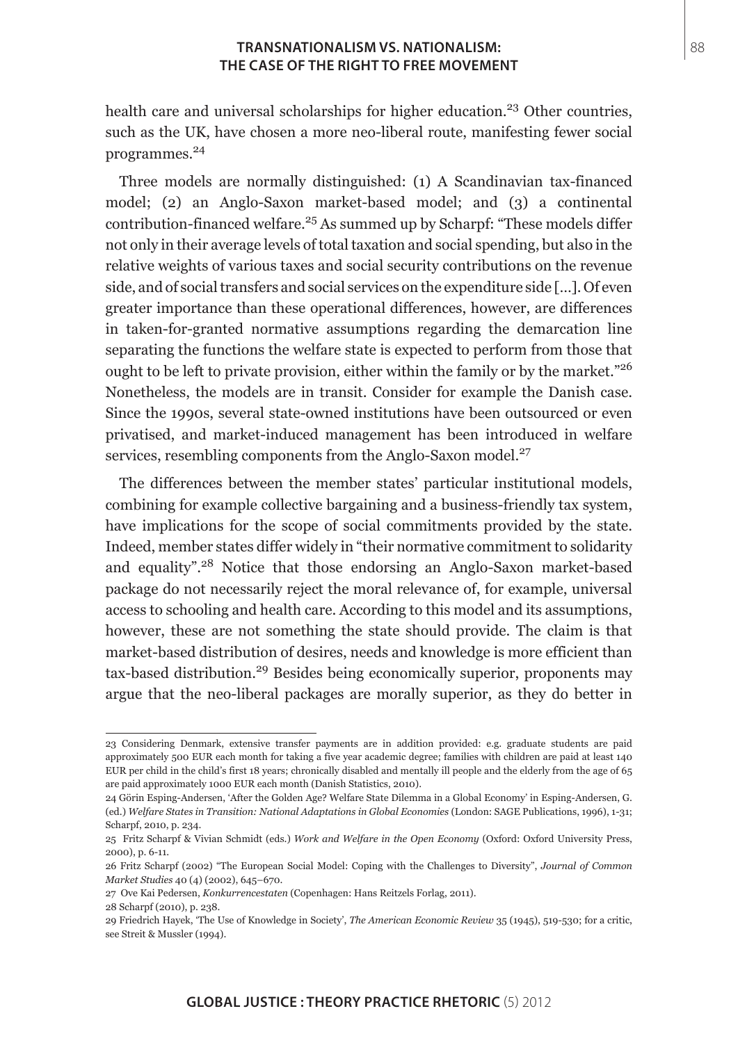health care and universal scholarships for higher education.<sup>23</sup> Other countries, such as the UK, have chosen a more neo-liberal route, manifesting fewer social programmes.24

Three models are normally distinguished: (1) A Scandinavian tax-financed model; (2) an Anglo-Saxon market-based model; and (3) a continental contribution-financed welfare.<sup>25</sup> As summed up by Scharpf: "These models differ not only in their average levels of total taxation and social spending, but also in the relative weights of various taxes and social security contributions on the revenue side, and of social transfers and social services on the expenditure side […]. Of even greater importance than these operational differences, however, are differences in taken-for-granted normative assumptions regarding the demarcation line separating the functions the welfare state is expected to perform from those that ought to be left to private provision, either within the family or by the market."<sup>26</sup> Nonetheless, the models are in transit. Consider for example the Danish case. Since the 1990s, several state-owned institutions have been outsourced or even privatised, and market-induced management has been introduced in welfare services, resembling components from the Anglo-Saxon model.<sup>27</sup>

The differences between the member states' particular institutional models, combining for example collective bargaining and a business-friendly tax system, have implications for the scope of social commitments provided by the state. Indeed, member states differ widely in "their normative commitment to solidarity and equality".28 Notice that those endorsing an Anglo-Saxon market-based package do not necessarily reject the moral relevance of, for example, universal access to schooling and health care. According to this model and its assumptions, however, these are not something the state should provide. The claim is that market-based distribution of desires, needs and knowledge is more efficient than tax-based distribution.29 Besides being economically superior, proponents may argue that the neo-liberal packages are morally superior, as they do better in

- 27 Ove Kai Pedersen, *Konkurrencestaten* (Copenhagen: Hans Reitzels Forlag, 2011).
- 28 Scharpf (2010), p. 238.

<sup>23</sup> Considering Denmark, extensive transfer payments are in addition provided: e.g. graduate students are paid approximately 500 EUR each month for taking a five year academic degree; families with children are paid at least 140 EUR per child in the child's first 18 years; chronically disabled and mentally ill people and the elderly from the age of 65 are paid approximately 1000 EUR each month (Danish Statistics, 2010).

<sup>24</sup> Görin Esping-Andersen, 'After the Golden Age? Welfare State Dilemma in a Global Economy' in Esping-Andersen, G. (ed.) *Welfare States in Transition: National Adaptations in Global Economies* (London: SAGE Publications, 1996), 1-31; Scharpf, 2010, p. 234.

<sup>25</sup> Fritz Scharpf & Vivian Schmidt (eds.) *Work and Welfare in the Open Economy* (Oxford: Oxford University Press, 2000), p. 6-11.

<sup>26</sup> Fritz Scharpf (2002) "The European Social Model: Coping with the Challenges to Diversity", *Journal of Common Market Studies* 40 (4) (2002), 645–670.

<sup>29</sup> Friedrich Hayek, 'The Use of Knowledge in Society', *The American Economic Review* 35 (1945), 519-530; for a critic, see Streit & Mussler (1994).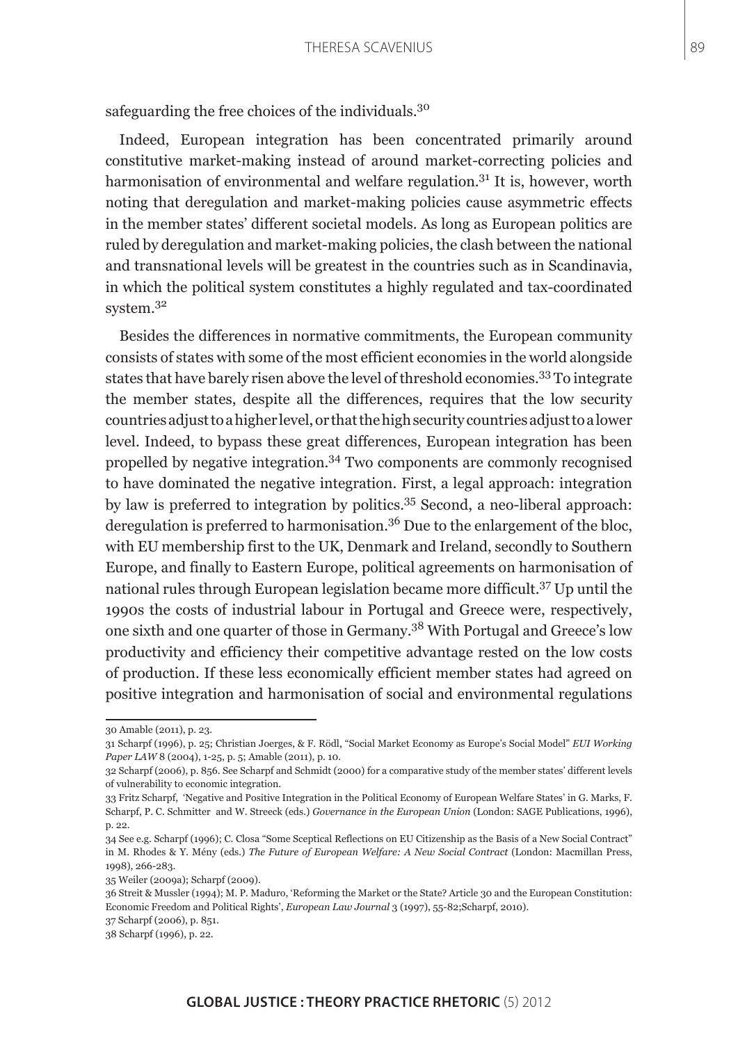safeguarding the free choices of the individuals.<sup>30</sup>

Indeed, European integration has been concentrated primarily around constitutive market-making instead of around market-correcting policies and harmonisation of environmental and welfare regulation. $3<sup>1</sup>$  It is, however, worth noting that deregulation and market-making policies cause asymmetric effects in the member states' different societal models. As long as European politics are ruled by deregulation and market-making policies, the clash between the national and transnational levels will be greatest in the countries such as in Scandinavia, in which the political system constitutes a highly regulated and tax-coordinated system.<sup>32</sup>

Besides the differences in normative commitments, the European community consists of states with some of the most efficient economies in the world alongside states that have barely risen above the level of threshold economies.<sup>33</sup> To integrate the member states, despite all the differences, requires that the low security countries adjust to a higher level, or that the high security countries adjust to a lower level. Indeed, to bypass these great differences, European integration has been propelled by negative integration.34 Two components are commonly recognised to have dominated the negative integration. First, a legal approach: integration by law is preferred to integration by politics.35 Second, a neo-liberal approach: deregulation is preferred to harmonisation.36 Due to the enlargement of the bloc, with EU membership first to the UK, Denmark and Ireland, secondly to Southern Europe, and finally to Eastern Europe, political agreements on harmonisation of national rules through European legislation became more difficult.37 Up until the 1990s the costs of industrial labour in Portugal and Greece were, respectively, one sixth and one quarter of those in Germany.38 With Portugal and Greece's low productivity and efficiency their competitive advantage rested on the low costs of production. If these less economically efficient member states had agreed on positive integration and harmonisation of social and environmental regulations

<sup>30</sup> Amable (2011), p. 23.

<sup>31</sup> Scharpf (1996), p. 25; Christian Joerges, & F. Rödl, "Social Market Economy as Europe's Social Model" *EUI Working Paper LAW* 8 (2004), 1-25, p. 5; Amable (2011), p. 10.

<sup>32</sup> Scharpf (2006), p. 856. See Scharpf and Schmidt (2000) for a comparative study of the member states' different levels of vulnerability to economic integration.

<sup>33</sup> Fritz Scharpf, 'Negative and Positive Integration in the Political Economy of European Welfare States' in G. Marks, F. Scharpf, P. C. Schmitter and W. Streeck (eds.) *Governance in the European Union* (London: SAGE Publications, 1996), p. 22.

<sup>34</sup> See e.g. Scharpf (1996); C. Closa "Some Sceptical Reflections on EU Citizenship as the Basis of a New Social Contract" in M. Rhodes & Y. Mény (eds.) *The Future of European Welfare: A New Social Contract* (London: Macmillan Press, 1998), 266-283.

<sup>35</sup> Weiler (2009a); Scharpf (2009).

<sup>36</sup> Streit & Mussler (1994); M. P. Maduro, 'Reforming the Market or the State? Article 30 and the European Constitution: Economic Freedom and Political Rights', *European Law Journal* 3 (1997), 55-82;Scharpf, 2010).

<sup>37</sup> Scharpf (2006), p. 851.

<sup>38</sup> Scharpf (1996), p. 22.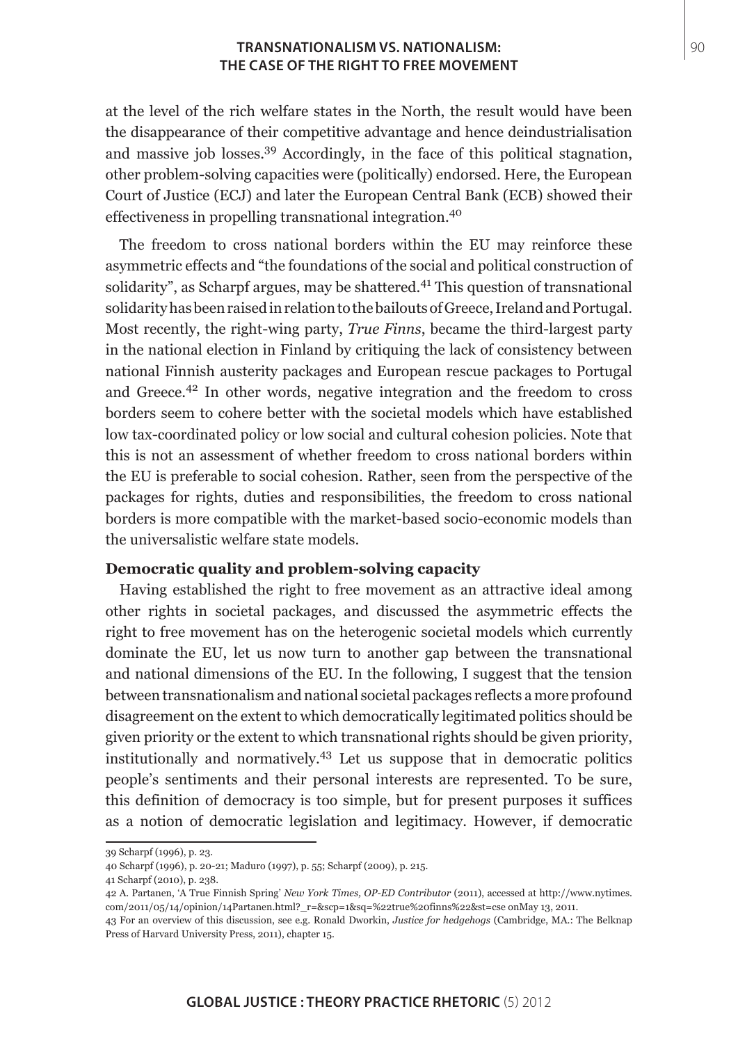at the level of the rich welfare states in the North, the result would have been the disappearance of their competitive advantage and hence deindustrialisation and massive job losses.39 Accordingly, in the face of this political stagnation, other problem-solving capacities were (politically) endorsed. Here, the European Court of Justice (ECJ) and later the European Central Bank (ECB) showed their effectiveness in propelling transnational integration.<sup>40</sup>

The freedom to cross national borders within the EU may reinforce these asymmetric effects and "the foundations of the social and political construction of solidarity", as Scharpf argues, may be shattered.<sup>41</sup> This question of transnational solidarity has been raised in relation to the bailouts of Greece, Ireland and Portugal. Most recently, the right-wing party, *True Finns*, became the third-largest party in the national election in Finland by critiquing the lack of consistency between national Finnish austerity packages and European rescue packages to Portugal and Greece.42 In other words, negative integration and the freedom to cross borders seem to cohere better with the societal models which have established low tax-coordinated policy or low social and cultural cohesion policies. Note that this is not an assessment of whether freedom to cross national borders within the EU is preferable to social cohesion. Rather, seen from the perspective of the packages for rights, duties and responsibilities, the freedom to cross national borders is more compatible with the market-based socio-economic models than the universalistic welfare state models.

#### **Democratic quality and problem-solving capacity**

Having established the right to free movement as an attractive ideal among other rights in societal packages, and discussed the asymmetric effects the right to free movement has on the heterogenic societal models which currently dominate the EU, let us now turn to another gap between the transnational and national dimensions of the EU. In the following, I suggest that the tension between transnationalism and national societal packages reflects a more profound disagreement on the extent to which democratically legitimated politics should be given priority or the extent to which transnational rights should be given priority, institutionally and normatively.43 Let us suppose that in democratic politics people's sentiments and their personal interests are represented. To be sure, this definition of democracy is too simple, but for present purposes it suffices as a notion of democratic legislation and legitimacy. However, if democratic

<sup>39</sup> Scharpf (1996), p. 23.

<sup>40</sup> Scharpf (1996), p. 20-21; Maduro (1997), p. 55; Scharpf (2009), p. 215.

<sup>41</sup> Scharpf (2010), p. 238.

<sup>42</sup> A. Partanen, 'A True Finnish Spring' *New York Times, OP-ED Contributor* (2011), accessed at http://www.nytimes. com/2011/05/14/opinion/14Partanen.html?\_r=&scp=1&sq=%22true%20finns%22&st=cse onMay 13, 2011.

<sup>43</sup> For an overview of this discussion, see e.g. Ronald Dworkin, *Justice for hedgehogs* (Cambridge, MA.: The Belknap Press of Harvard University Press, 2011), chapter 15.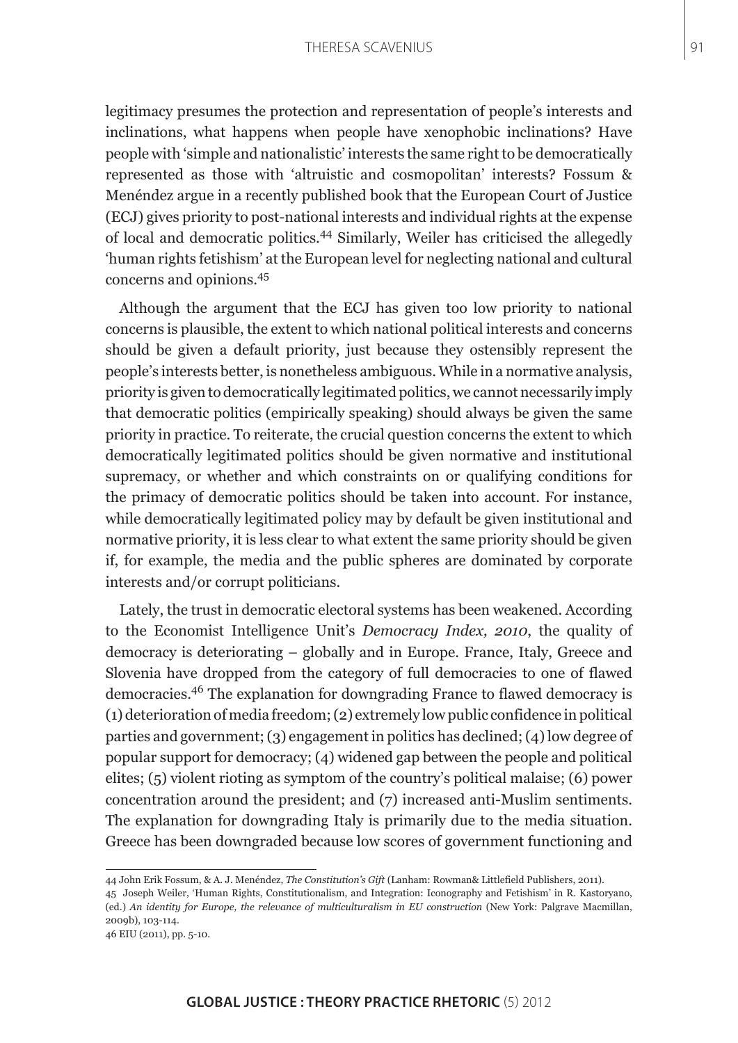#### THERESA SCAVENIUS

legitimacy presumes the protection and representation of people's interests and inclinations, what happens when people have xenophobic inclinations? Have people with 'simple and nationalistic' interests the same right to be democratically represented as those with 'altruistic and cosmopolitan' interests? Fossum & Menéndez argue in a recently published book that the European Court of Justice (ECJ) gives priority to post-national interests and individual rights at the expense of local and democratic politics.44 Similarly, Weiler has criticised the allegedly 'human rights fetishism' at the European level for neglecting national and cultural concerns and opinions.<sup>45</sup>

Although the argument that the ECJ has given too low priority to national concerns is plausible, the extent to which national political interests and concerns should be given a default priority, just because they ostensibly represent the people's interests better, is nonetheless ambiguous. While in a normative analysis, priority is given to democratically legitimated politics, we cannot necessarily imply that democratic politics (empirically speaking) should always be given the same priority in practice. To reiterate, the crucial question concerns the extent to which democratically legitimated politics should be given normative and institutional supremacy, or whether and which constraints on or qualifying conditions for the primacy of democratic politics should be taken into account. For instance, while democratically legitimated policy may by default be given institutional and normative priority, it is less clear to what extent the same priority should be given if, for example, the media and the public spheres are dominated by corporate interests and/or corrupt politicians.

Lately, the trust in democratic electoral systems has been weakened. According to the Economist Intelligence Unit's *Democracy Index, 2010*, the quality of democracy is deteriorating – globally and in Europe. France, Italy, Greece and Slovenia have dropped from the category of full democracies to one of flawed democracies.46 The explanation for downgrading France to flawed democracy is (1) deterioration of media freedom; (2) extremely low public confidence in political parties and government; (3) engagement in politics has declined; (4) low degree of popular support for democracy; (4) widened gap between the people and political elites; (5) violent rioting as symptom of the country's political malaise; (6) power concentration around the president; and (7) increased anti-Muslim sentiments. The explanation for downgrading Italy is primarily due to the media situation. Greece has been downgraded because low scores of government functioning and

<sup>44</sup> John Erik Fossum, & A. J. Menéndez, *The Constitution's Gift* (Lanham: Rowman& Littlefield Publishers, 2011).

<sup>45</sup> Joseph Weiler, 'Human Rights, Constitutionalism, and Integration: Iconography and Fetishism' in R. Kastoryano, (ed.) *An identity for Europe, the relevance of multiculturalism in EU construction* (New York: Palgrave Macmillan, 2009b), 103-114.

<sup>46</sup> EIU (2011), pp. 5-10.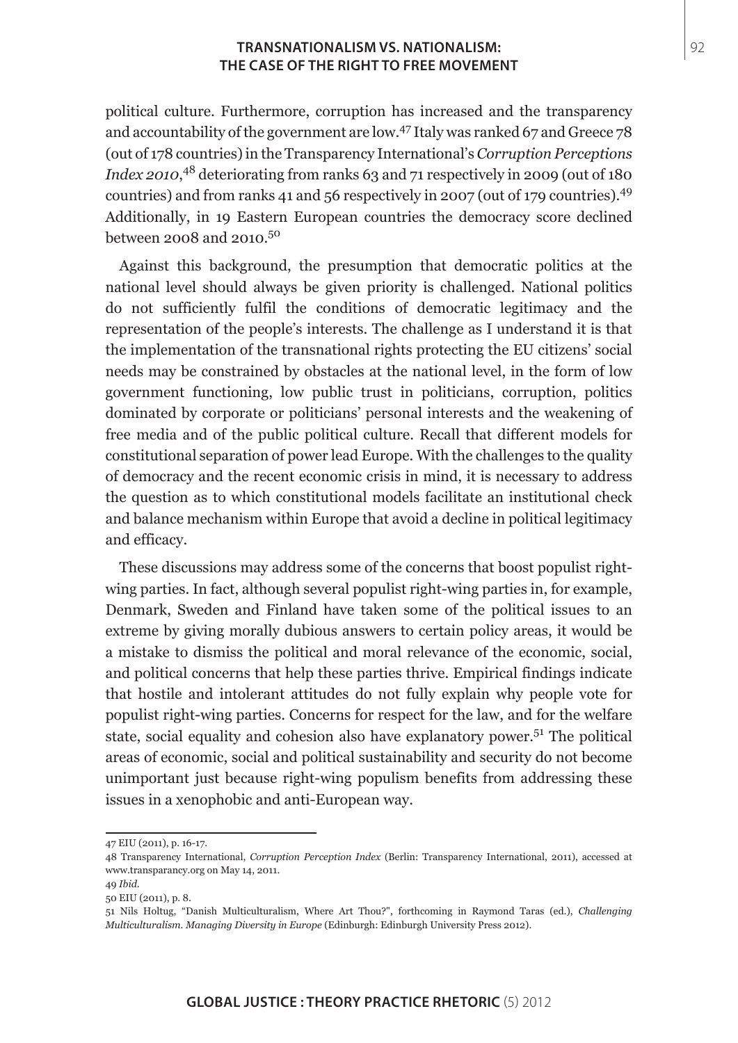political culture. Furthermore, corruption has increased and the transparency and accountability of the government are low.47 Italy was ranked 67 and Greece 78 (out of 178 countries) in the Transparency International's *Corruption Perceptions Index 2010*, 48 deteriorating from ranks 63 and 71 respectively in 2009 (out of 180 countries) and from ranks 41 and 56 respectively in 2007 (out of 179 countries).49 Additionally, in 19 Eastern European countries the democracy score declined between 2008 and 2010.50

Against this background, the presumption that democratic politics at the national level should always be given priority is challenged. National politics do not sufficiently fulfil the conditions of democratic legitimacy and the representation of the people's interests. The challenge as I understand it is that the implementation of the transnational rights protecting the EU citizens' social needs may be constrained by obstacles at the national level, in the form of low government functioning, low public trust in politicians, corruption, politics dominated by corporate or politicians' personal interests and the weakening of free media and of the public political culture. Recall that different models for constitutional separation of power lead Europe. With the challenges to the quality of democracy and the recent economic crisis in mind, it is necessary to address the question as to which constitutional models facilitate an institutional check and balance mechanism within Europe that avoid a decline in political legitimacy and efficacy.

These discussions may address some of the concerns that boost populist rightwing parties. In fact, although several populist right-wing parties in, for example, Denmark, Sweden and Finland have taken some of the political issues to an extreme by giving morally dubious answers to certain policy areas, it would be a mistake to dismiss the political and moral relevance of the economic, social, and political concerns that help these parties thrive. Empirical findings indicate that hostile and intolerant attitudes do not fully explain why people vote for populist right-wing parties. Concerns for respect for the law, and for the welfare state, social equality and cohesion also have explanatory power.<sup>51</sup> The political areas of economic, social and political sustainability and security do not become unimportant just because right-wing populism benefits from addressing these issues in a xenophobic and anti-European way.

<sup>47</sup> EIU (2011), p. 16-17.

<sup>48</sup> Transparency International, *Corruption Perception Index* (Berlin: Transparency International, 2011), accessed at www.transparancy.org on May 14, 2011.

<sup>49</sup> *Ibid*.

<sup>50</sup> EIU (2011), p. 8.

<sup>51</sup> Nils Holtug, "Danish Multiculturalism, Where Art Thou?", forthcoming in Raymond Taras (ed.), *Challenging Multiculturalism. Managing Diversity in Europe* (Edinburgh: Edinburgh University Press 2012).